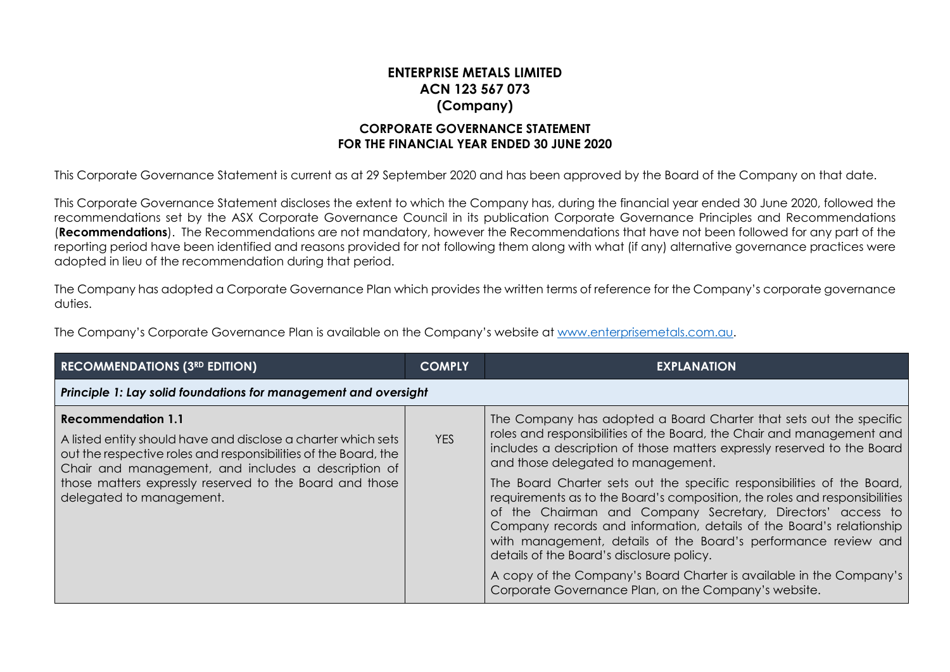## **ENTERPRISE METALS LIMITED ACN 123 567 073 (Company) CORPORATE GOVERNANCE STATEMENT**

## **FOR THE FINANCIAL YEAR ENDED 30 JUNE 2020**

This Corporate Governance Statement is current as at 29 September 2020 and has been approved by the Board of the Company on that date.

This Corporate Governance Statement discloses the extent to which the Company has, during the financial year ended 30 June 2020, followed the recommendations set by the ASX Corporate Governance Council in its publication Corporate Governance Principles and Recommendations (**Recommendations**). The Recommendations are not mandatory, however the Recommendations that have not been followed for any part of the reporting period have been identified and reasons provided for not following them along with what (if any) alternative governance practices were adopted in lieu of the recommendation during that period.

The Company has adopted a Corporate Governance Plan which provides the written terms of reference for the Company's corporate governance duties.

The Company's Corporate Governance Plan is available on the Company's website at [www.enterprisemetals.com.au.](http://www.enterprisemetals.com.au/)

| <b>RECOMMENDATIONS (3RD EDITION)</b>                                                                                                                                                                                                                                                                 | <b>COMPLY</b> | <b>EXPLANATION</b>                                                                                                                                                                                                                                                                                                                                                                                                                                                                                                                                                                                                                                                                                                                                                                                        |  |
|------------------------------------------------------------------------------------------------------------------------------------------------------------------------------------------------------------------------------------------------------------------------------------------------------|---------------|-----------------------------------------------------------------------------------------------------------------------------------------------------------------------------------------------------------------------------------------------------------------------------------------------------------------------------------------------------------------------------------------------------------------------------------------------------------------------------------------------------------------------------------------------------------------------------------------------------------------------------------------------------------------------------------------------------------------------------------------------------------------------------------------------------------|--|
| Principle 1: Lay solid foundations for management and oversight                                                                                                                                                                                                                                      |               |                                                                                                                                                                                                                                                                                                                                                                                                                                                                                                                                                                                                                                                                                                                                                                                                           |  |
| Recommendation 1.1<br>A listed entity should have and disclose a charter which sets<br>out the respective roles and responsibilities of the Board, the<br>Chair and management, and includes a description of<br>those matters expressly reserved to the Board and those<br>delegated to management. | <b>YES</b>    | The Company has adopted a Board Charter that sets out the specific<br>roles and responsibilities of the Board, the Chair and management and<br>includes a description of those matters expressly reserved to the Board<br>and those delegated to management.<br>The Board Charter sets out the specific responsibilities of the Board,<br>requirements as to the Board's composition, the roles and responsibilities<br>of the Chairman and Company Secretary, Directors' access to<br>Company records and information, details of the Board's relationship<br>with management, details of the Board's performance review and<br>details of the Board's disclosure policy.<br>A copy of the Company's Board Charter is available in the Company's<br>Corporate Governance Plan, on the Company's website. |  |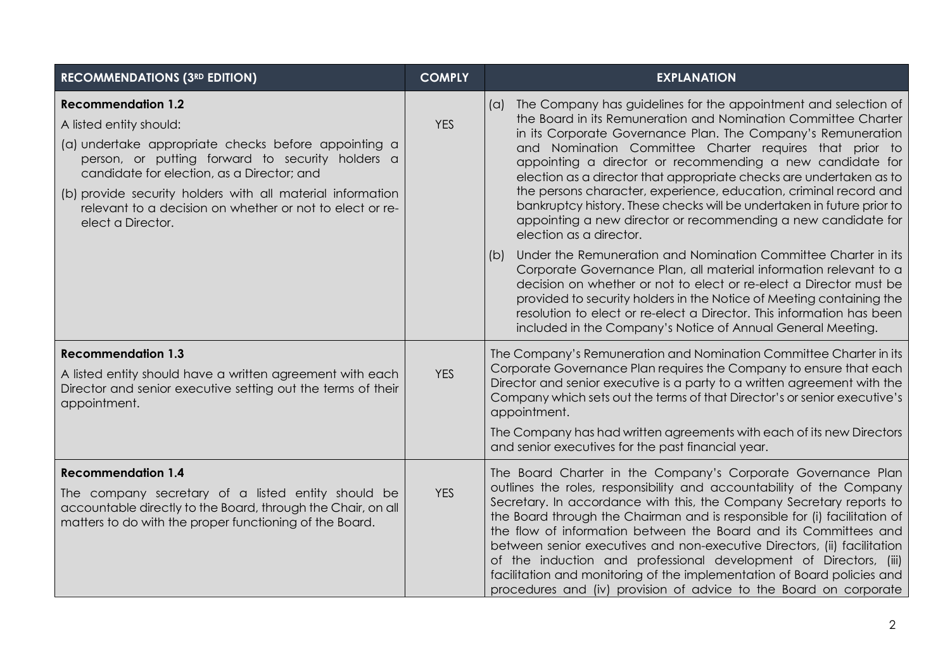| <b>RECOMMENDATIONS (3RD EDITION)</b>                                                                                                                                                                                                                                                                                                                          | <b>COMPLY</b> | <b>EXPLANATION</b>                                                                                                                                                                                                                                                                                                                                                                                                                                                                                                                                                                                                                                             |
|---------------------------------------------------------------------------------------------------------------------------------------------------------------------------------------------------------------------------------------------------------------------------------------------------------------------------------------------------------------|---------------|----------------------------------------------------------------------------------------------------------------------------------------------------------------------------------------------------------------------------------------------------------------------------------------------------------------------------------------------------------------------------------------------------------------------------------------------------------------------------------------------------------------------------------------------------------------------------------------------------------------------------------------------------------------|
| <b>Recommendation 1.2</b><br>A listed entity should:<br>(a) undertake appropriate checks before appointing a<br>person, or putting forward to security holders a<br>candidate for election, as a Director; and<br>(b) provide security holders with all material information<br>relevant to a decision on whether or not to elect or re-<br>elect a Director. | <b>YES</b>    | The Company has guidelines for the appointment and selection of<br>(a)<br>the Board in its Remuneration and Nomination Committee Charter<br>in its Corporate Governance Plan. The Company's Remuneration<br>and Nomination Committee Charter requires that prior to<br>appointing a director or recommending a new candidate for<br>election as a director that appropriate checks are undertaken as to<br>the persons character, experience, education, criminal record and<br>bankruptcy history. These checks will be undertaken in future prior to<br>appointing a new director or recommending a new candidate for<br>election as a director.             |
|                                                                                                                                                                                                                                                                                                                                                               |               | Under the Remuneration and Nomination Committee Charter in its<br>(b)<br>Corporate Governance Plan, all material information relevant to a<br>decision on whether or not to elect or re-elect a Director must be<br>provided to security holders in the Notice of Meeting containing the<br>resolution to elect or re-elect a Director. This information has been<br>included in the Company's Notice of Annual General Meeting.                                                                                                                                                                                                                               |
| <b>Recommendation 1.3</b><br>A listed entity should have a written agreement with each<br>Director and senior executive setting out the terms of their<br>appointment.                                                                                                                                                                                        | <b>YES</b>    | The Company's Remuneration and Nomination Committee Charter in its<br>Corporate Governance Plan requires the Company to ensure that each<br>Director and senior executive is a party to a written agreement with the<br>Company which sets out the terms of that Director's or senior executive's<br>appointment.<br>The Company has had written agreements with each of its new Directors<br>and senior executives for the past financial year.                                                                                                                                                                                                               |
| <b>Recommendation 1.4</b><br>The company secretary of a listed entity should be<br>accountable directly to the Board, through the Chair, on all<br>matters to do with the proper functioning of the Board.                                                                                                                                                    | <b>YES</b>    | The Board Charter in the Company's Corporate Governance Plan<br>outlines the roles, responsibility and accountability of the Company<br>Secretary. In accordance with this, the Company Secretary reports to<br>the Board through the Chairman and is responsible for (i) facilitation of<br>the flow of information between the Board and its Committees and<br>between senior executives and non-executive Directors, (ii) facilitation<br>of the induction and professional development of Directors, (iii)<br>facilitation and monitoring of the implementation of Board policies and<br>procedures and (iv) provision of advice to the Board on corporate |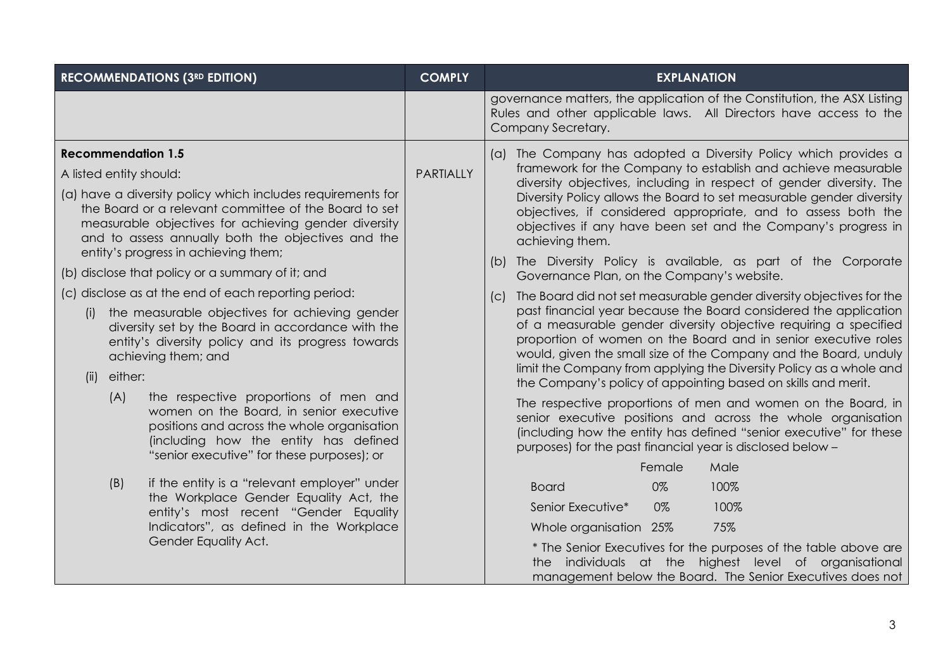| <b>RECOMMENDATIONS (3RD EDITION)</b>                                                                                                                                                                                                                                       | <b>COMPLY</b>    | <b>EXPLANATION</b>                                                                                                                                                                                                                                                                                                                |                                                                                                                                                                                                                                                                                                                                                   |
|----------------------------------------------------------------------------------------------------------------------------------------------------------------------------------------------------------------------------------------------------------------------------|------------------|-----------------------------------------------------------------------------------------------------------------------------------------------------------------------------------------------------------------------------------------------------------------------------------------------------------------------------------|---------------------------------------------------------------------------------------------------------------------------------------------------------------------------------------------------------------------------------------------------------------------------------------------------------------------------------------------------|
|                                                                                                                                                                                                                                                                            |                  | governance matters, the application of the Constitution, the ASX Listing<br>Rules and other applicable laws. All Directors have access to the<br>Company Secretary.                                                                                                                                                               |                                                                                                                                                                                                                                                                                                                                                   |
| <b>Recommendation 1.5</b><br>A listed entity should:                                                                                                                                                                                                                       | <b>PARTIALLY</b> | (a) The Company has adopted a Diversity Policy which provides a<br>framework for the Company to establish and achieve measurable                                                                                                                                                                                                  |                                                                                                                                                                                                                                                                                                                                                   |
| (a) have a diversity policy which includes requirements for<br>the Board or a relevant committee of the Board to set<br>measurable objectives for achieving gender diversity<br>and to assess annually both the objectives and the<br>entity's progress in achieving them; |                  | diversity objectives, including in respect of gender diversity. The<br>Diversity Policy allows the Board to set measurable gender diversity<br>objectives, if considered appropriate, and to assess both the<br>objectives if any have been set and the Company's progress in<br>achieving them.                                  |                                                                                                                                                                                                                                                                                                                                                   |
| (b) disclose that policy or a summary of it; and                                                                                                                                                                                                                           |                  | (b) The Diversity Policy is available, as part of the Corporate<br>Governance Plan, on the Company's website.                                                                                                                                                                                                                     |                                                                                                                                                                                                                                                                                                                                                   |
| (c) disclose as at the end of each reporting period:                                                                                                                                                                                                                       |                  | The Board did not set measurable gender diversity objectives for the<br>(C)                                                                                                                                                                                                                                                       |                                                                                                                                                                                                                                                                                                                                                   |
| the measurable objectives for achieving gender<br>(i)<br>diversity set by the Board in accordance with the<br>entity's diversity policy and its progress towards<br>achieving them; and<br>either:<br>(ii)                                                                 |                  |                                                                                                                                                                                                                                                                                                                                   | past financial year because the Board considered the application<br>of a measurable gender diversity objective requiring a specified<br>proportion of women on the Board and in senior executive roles<br>would, given the small size of the Company and the Board, unduly<br>limit the Company from applying the Diversity Policy as a whole and |
| (A)<br>the respective proportions of men and<br>women on the Board, in senior executive<br>positions and across the whole organisation<br>(including how the entity has defined<br>"senior executive" for these purposes); or                                              |                  | the Company's policy of appointing based on skills and merit.<br>The respective proportions of men and women on the Board, in<br>senior executive positions and across the whole organisation<br>(including how the entity has defined "senior executive" for these<br>purposes) for the past financial year is disclosed below - |                                                                                                                                                                                                                                                                                                                                                   |
|                                                                                                                                                                                                                                                                            |                  | Female<br>Male                                                                                                                                                                                                                                                                                                                    |                                                                                                                                                                                                                                                                                                                                                   |
| (B)<br>if the entity is a "relevant employer" under<br>the Workplace Gender Equality Act, the                                                                                                                                                                              |                  | 100%<br><b>Board</b><br>0%                                                                                                                                                                                                                                                                                                        |                                                                                                                                                                                                                                                                                                                                                   |
| entity's most recent "Gender Equality                                                                                                                                                                                                                                      |                  | Senior Executive*<br>0%<br>100%                                                                                                                                                                                                                                                                                                   |                                                                                                                                                                                                                                                                                                                                                   |
| Indicators", as defined in the Workplace                                                                                                                                                                                                                                   |                  | 75%<br>Whole organisation 25%                                                                                                                                                                                                                                                                                                     |                                                                                                                                                                                                                                                                                                                                                   |
| Gender Equality Act.                                                                                                                                                                                                                                                       |                  | * The Senior Executives for the purposes of the table above are<br>individuals at the highest level of organisational<br>the<br>management below the Board. The Senior Executives does not                                                                                                                                        |                                                                                                                                                                                                                                                                                                                                                   |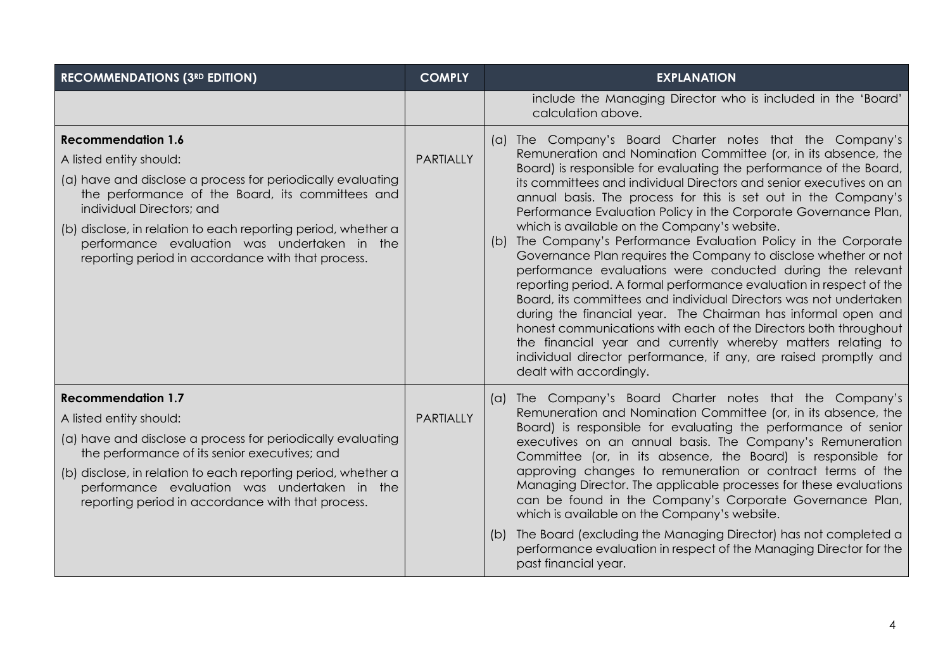| <b>RECOMMENDATIONS (3RD EDITION)</b>                                                                                                                                                                                                                                                                                                                                       | <b>COMPLY</b>    | <b>EXPLANATION</b>                                                                                                                                                                                                                                                                                                                                                                                                                                                                                                                                                                                                                                                                                                                                                                                                                                                                                                                                                                                                                                                                                                |
|----------------------------------------------------------------------------------------------------------------------------------------------------------------------------------------------------------------------------------------------------------------------------------------------------------------------------------------------------------------------------|------------------|-------------------------------------------------------------------------------------------------------------------------------------------------------------------------------------------------------------------------------------------------------------------------------------------------------------------------------------------------------------------------------------------------------------------------------------------------------------------------------------------------------------------------------------------------------------------------------------------------------------------------------------------------------------------------------------------------------------------------------------------------------------------------------------------------------------------------------------------------------------------------------------------------------------------------------------------------------------------------------------------------------------------------------------------------------------------------------------------------------------------|
|                                                                                                                                                                                                                                                                                                                                                                            |                  | include the Managing Director who is included in the 'Board'<br>calculation above.                                                                                                                                                                                                                                                                                                                                                                                                                                                                                                                                                                                                                                                                                                                                                                                                                                                                                                                                                                                                                                |
| <b>Recommendation 1.6</b><br>A listed entity should:<br>(a) have and disclose a process for periodically evaluating<br>the performance of the Board, its committees and<br>individual Directors; and<br>(b) disclose, in relation to each reporting period, whether a<br>performance evaluation was undertaken in the<br>reporting period in accordance with that process. | <b>PARTIALLY</b> | (a) The Company's Board Charter notes that the Company's<br>Remuneration and Nomination Committee (or, in its absence, the<br>Board) is responsible for evaluating the performance of the Board,<br>its committees and individual Directors and senior executives on an<br>annual basis. The process for this is set out in the Company's<br>Performance Evaluation Policy in the Corporate Governance Plan,<br>which is available on the Company's website.<br>(b) The Company's Performance Evaluation Policy in the Corporate<br>Governance Plan requires the Company to disclose whether or not<br>performance evaluations were conducted during the relevant<br>reporting period. A formal performance evaluation in respect of the<br>Board, its committees and individual Directors was not undertaken<br>during the financial year. The Chairman has informal open and<br>honest communications with each of the Directors both throughout<br>the financial year and currently whereby matters relating to<br>individual director performance, if any, are raised promptly and<br>dealt with accordingly. |
| <b>Recommendation 1.7</b><br>A listed entity should:<br>(a) have and disclose a process for periodically evaluating<br>the performance of its senior executives; and<br>(b) disclose, in relation to each reporting period, whether a<br>performance evaluation was undertaken in the<br>reporting period in accordance with that process.                                 | <b>PARTIALLY</b> | (a) The Company's Board Charter notes that the Company's<br>Remuneration and Nomination Committee (or, in its absence, the<br>Board) is responsible for evaluating the performance of senior<br>executives on an annual basis. The Company's Remuneration<br>Committee (or, in its absence, the Board) is responsible for<br>approving changes to remuneration or contract terms of the<br>Managing Director. The applicable processes for these evaluations<br>can be found in the Company's Corporate Governance Plan,<br>which is available on the Company's website.<br>The Board (excluding the Managing Director) has not completed a<br>(D)<br>performance evaluation in respect of the Managing Director for the<br>past financial year.                                                                                                                                                                                                                                                                                                                                                                  |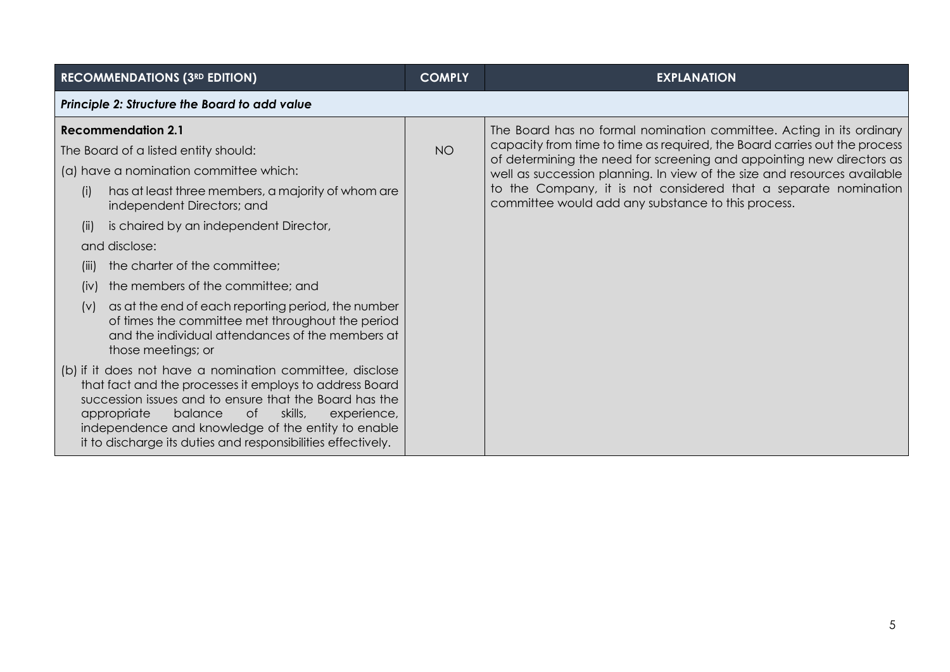| <b>RECOMMENDATIONS (3RD EDITION)</b>                                                                                                                                                                                                                                                                                                                          | <b>COMPLY</b> | <b>EXPLANATION</b>                                                                                                                                 |  |
|---------------------------------------------------------------------------------------------------------------------------------------------------------------------------------------------------------------------------------------------------------------------------------------------------------------------------------------------------------------|---------------|----------------------------------------------------------------------------------------------------------------------------------------------------|--|
| Principle 2: Structure the Board to add value                                                                                                                                                                                                                                                                                                                 |               |                                                                                                                                                    |  |
| <b>Recommendation 2.1</b>                                                                                                                                                                                                                                                                                                                                     |               | The Board has no formal nomination committee. Acting in its ordinary                                                                               |  |
| The Board of a listed entity should:                                                                                                                                                                                                                                                                                                                          | <b>NO</b>     | capacity from time to time as required, the Board carries out the process<br>of determining the need for screening and appointing new directors as |  |
| (a) have a nomination committee which:                                                                                                                                                                                                                                                                                                                        |               | well as succession planning. In view of the size and resources available                                                                           |  |
| has at least three members, a majority of whom are<br>(i)<br>independent Directors; and                                                                                                                                                                                                                                                                       |               | to the Company, it is not considered that a separate nomination<br>committee would add any substance to this process.                              |  |
| is chaired by an independent Director,<br>(ii)                                                                                                                                                                                                                                                                                                                |               |                                                                                                                                                    |  |
| and disclose:                                                                                                                                                                                                                                                                                                                                                 |               |                                                                                                                                                    |  |
| the charter of the committee;<br>(III)                                                                                                                                                                                                                                                                                                                        |               |                                                                                                                                                    |  |
| the members of the committee; and<br>(iv)                                                                                                                                                                                                                                                                                                                     |               |                                                                                                                                                    |  |
| as at the end of each reporting period, the number<br>(V)<br>of times the committee met throughout the period<br>and the individual attendances of the members at<br>those meetings; or                                                                                                                                                                       |               |                                                                                                                                                    |  |
| (b) if it does not have a nomination committee, disclose<br>that fact and the processes it employs to address Board<br>succession issues and to ensure that the Board has the<br>skills,<br>appropriate<br>balance<br>of<br>experience,<br>independence and knowledge of the entity to enable<br>it to discharge its duties and responsibilities effectively. |               |                                                                                                                                                    |  |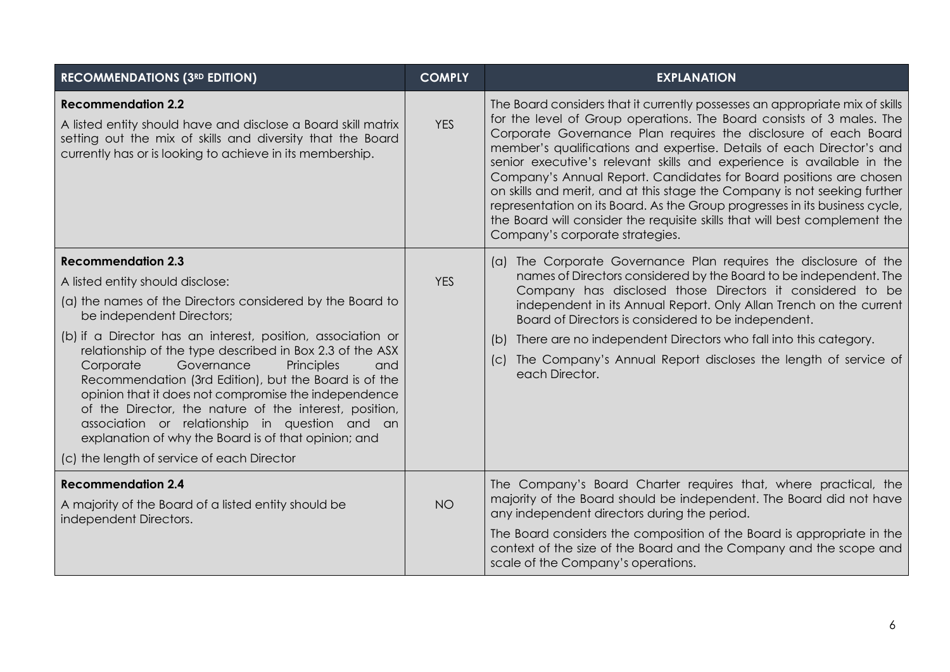| <b>RECOMMENDATIONS (3RD EDITION)</b>                                                                                                                                                                                                                                                                                                                                                                                                                                                                                                                                                                                                                                  | <b>COMPLY</b> | <b>EXPLANATION</b>                                                                                                                                                                                                                                                                                                                                                                                                                                                                                                                                                                                                                                                                                                            |
|-----------------------------------------------------------------------------------------------------------------------------------------------------------------------------------------------------------------------------------------------------------------------------------------------------------------------------------------------------------------------------------------------------------------------------------------------------------------------------------------------------------------------------------------------------------------------------------------------------------------------------------------------------------------------|---------------|-------------------------------------------------------------------------------------------------------------------------------------------------------------------------------------------------------------------------------------------------------------------------------------------------------------------------------------------------------------------------------------------------------------------------------------------------------------------------------------------------------------------------------------------------------------------------------------------------------------------------------------------------------------------------------------------------------------------------------|
| <b>Recommendation 2.2</b><br>A listed entity should have and disclose a Board skill matrix<br>setting out the mix of skills and diversity that the Board<br>currently has or is looking to achieve in its membership.                                                                                                                                                                                                                                                                                                                                                                                                                                                 | <b>YES</b>    | The Board considers that it currently possesses an appropriate mix of skills<br>for the level of Group operations. The Board consists of 3 males. The<br>Corporate Governance Plan requires the disclosure of each Board<br>member's qualifications and expertise. Details of each Director's and<br>senior executive's relevant skills and experience is available in the<br>Company's Annual Report. Candidates for Board positions are chosen<br>on skills and merit, and at this stage the Company is not seeking further<br>representation on its Board. As the Group progresses in its business cycle,<br>the Board will consider the requisite skills that will best complement the<br>Company's corporate strategies. |
| <b>Recommendation 2.3</b><br>A listed entity should disclose:<br>(a) the names of the Directors considered by the Board to<br>be independent Directors;<br>(b) if a Director has an interest, position, association or<br>relationship of the type described in Box 2.3 of the ASX<br>Corporate<br>Governance<br>Principles<br>and<br>Recommendation (3rd Edition), but the Board is of the<br>opinion that it does not compromise the independence<br>of the Director, the nature of the interest, position,<br>association or relationship in question and an<br>explanation of why the Board is of that opinion; and<br>(c) the length of service of each Director | <b>YES</b>    | (a) The Corporate Governance Plan requires the disclosure of the<br>names of Directors considered by the Board to be independent. The<br>Company has disclosed those Directors it considered to be<br>independent in its Annual Report. Only Allan Trench on the current<br>Board of Directors is considered to be independent.<br>There are no independent Directors who fall into this category.<br>(b)<br>The Company's Annual Report discloses the length of service of<br>(C)<br>each Director.                                                                                                                                                                                                                          |
| <b>Recommendation 2.4</b><br>A majority of the Board of a listed entity should be<br>independent Directors.                                                                                                                                                                                                                                                                                                                                                                                                                                                                                                                                                           | <b>NO</b>     | The Company's Board Charter requires that, where practical, the<br>majority of the Board should be independent. The Board did not have<br>any independent directors during the period.<br>The Board considers the composition of the Board is appropriate in the<br>context of the size of the Board and the Company and the scope and<br>scale of the Company's operations.                                                                                                                                                                                                                                                                                                                                                  |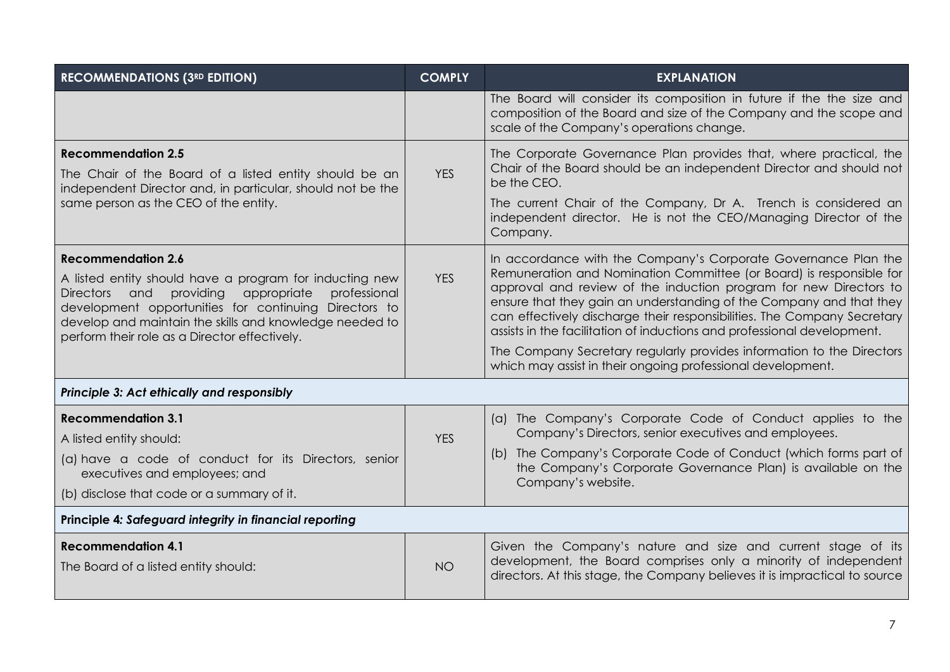| <b>RECOMMENDATIONS (3RD EDITION)</b>                                                                                                                                                                                                                                                                                   | <b>COMPLY</b> | <b>EXPLANATION</b>                                                                                                                                                                                                                                                                                                                                                                                                                      |
|------------------------------------------------------------------------------------------------------------------------------------------------------------------------------------------------------------------------------------------------------------------------------------------------------------------------|---------------|-----------------------------------------------------------------------------------------------------------------------------------------------------------------------------------------------------------------------------------------------------------------------------------------------------------------------------------------------------------------------------------------------------------------------------------------|
|                                                                                                                                                                                                                                                                                                                        |               | The Board will consider its composition in future if the the size and<br>composition of the Board and size of the Company and the scope and<br>scale of the Company's operations change.                                                                                                                                                                                                                                                |
| <b>Recommendation 2.5</b><br>The Chair of the Board of a listed entity should be an<br>independent Director and, in particular, should not be the                                                                                                                                                                      | <b>YES</b>    | The Corporate Governance Plan provides that, where practical, the<br>Chair of the Board should be an independent Director and should not<br>be the CEO.                                                                                                                                                                                                                                                                                 |
| same person as the CEO of the entity.                                                                                                                                                                                                                                                                                  |               | The current Chair of the Company, Dr A. Trench is considered an<br>independent director. He is not the CEO/Managing Director of the<br>Company.                                                                                                                                                                                                                                                                                         |
| <b>Recommendation 2.6</b><br>A listed entity should have a program for inducting new<br>providing<br>appropriate<br>professional<br>Directors and<br>development opportunities for continuing Directors to<br>develop and maintain the skills and knowledge needed to<br>perform their role as a Director effectively. | <b>YES</b>    | In accordance with the Company's Corporate Governance Plan the<br>Remuneration and Nomination Committee (or Board) is responsible for<br>approval and review of the induction program for new Directors to<br>ensure that they gain an understanding of the Company and that they<br>can effectively discharge their responsibilities. The Company Secretary<br>assists in the facilitation of inductions and professional development. |
|                                                                                                                                                                                                                                                                                                                        |               | The Company Secretary regularly provides information to the Directors<br>which may assist in their ongoing professional development.                                                                                                                                                                                                                                                                                                    |
| Principle 3: Act ethically and responsibly                                                                                                                                                                                                                                                                             |               |                                                                                                                                                                                                                                                                                                                                                                                                                                         |
| <b>Recommendation 3.1</b><br>A listed entity should:                                                                                                                                                                                                                                                                   | <b>YES</b>    | (a) The Company's Corporate Code of Conduct applies to the<br>Company's Directors, senior executives and employees.                                                                                                                                                                                                                                                                                                                     |
| (a) have a code of conduct for its Directors, senior<br>executives and employees; and<br>(b) disclose that code or a summary of it.                                                                                                                                                                                    |               | (b) The Company's Corporate Code of Conduct (which forms part of<br>the Company's Corporate Governance Plan) is available on the<br>Company's website.                                                                                                                                                                                                                                                                                  |
| Principle 4: Safeguard integrity in financial reporting                                                                                                                                                                                                                                                                |               |                                                                                                                                                                                                                                                                                                                                                                                                                                         |
|                                                                                                                                                                                                                                                                                                                        |               |                                                                                                                                                                                                                                                                                                                                                                                                                                         |
| <b>Recommendation 4.1</b><br>The Board of a listed entity should:                                                                                                                                                                                                                                                      | <b>NO</b>     | Given the Company's nature and size and current stage of its<br>development, the Board comprises only a minority of independent<br>directors. At this stage, the Company believes it is impractical to source                                                                                                                                                                                                                           |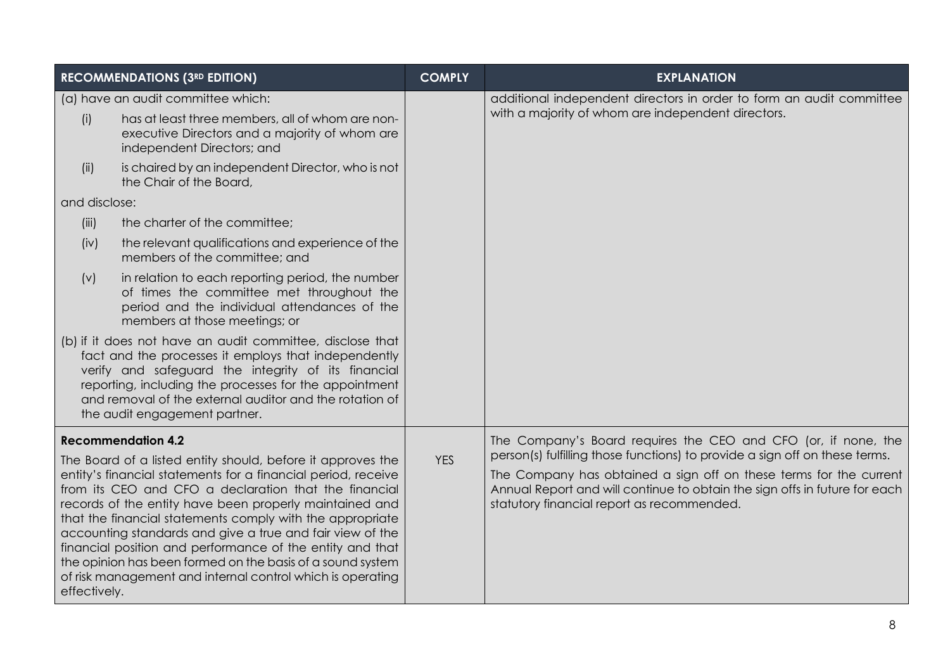|                           | <b>RECOMMENDATIONS (3RD EDITION)</b>                                                                                                                                                                                                                                                                                                                                                                                                                                                                 | <b>COMPLY</b> | <b>EXPLANATION</b>                                                                                                                                                                             |
|---------------------------|------------------------------------------------------------------------------------------------------------------------------------------------------------------------------------------------------------------------------------------------------------------------------------------------------------------------------------------------------------------------------------------------------------------------------------------------------------------------------------------------------|---------------|------------------------------------------------------------------------------------------------------------------------------------------------------------------------------------------------|
|                           | (a) have an audit committee which:                                                                                                                                                                                                                                                                                                                                                                                                                                                                   |               | additional independent directors in order to form an audit committee                                                                                                                           |
| (i)                       | has at least three members, all of whom are non-<br>executive Directors and a majority of whom are<br>independent Directors; and                                                                                                                                                                                                                                                                                                                                                                     |               | with a majority of whom are independent directors.                                                                                                                                             |
| (ii)                      | is chaired by an independent Director, who is not<br>the Chair of the Board,                                                                                                                                                                                                                                                                                                                                                                                                                         |               |                                                                                                                                                                                                |
| and disclose:             |                                                                                                                                                                                                                                                                                                                                                                                                                                                                                                      |               |                                                                                                                                                                                                |
| (iii)                     | the charter of the committee;                                                                                                                                                                                                                                                                                                                                                                                                                                                                        |               |                                                                                                                                                                                                |
| (iv)                      | the relevant qualifications and experience of the<br>members of the committee; and                                                                                                                                                                                                                                                                                                                                                                                                                   |               |                                                                                                                                                                                                |
| (v)                       | in relation to each reporting period, the number<br>of times the committee met throughout the<br>period and the individual attendances of the<br>members at those meetings; or                                                                                                                                                                                                                                                                                                                       |               |                                                                                                                                                                                                |
|                           | (b) if it does not have an audit committee, disclose that<br>fact and the processes it employs that independently<br>verify and safeguard the integrity of its financial<br>reporting, including the processes for the appointment<br>and removal of the external auditor and the rotation of<br>the audit engagement partner.                                                                                                                                                                       |               |                                                                                                                                                                                                |
| <b>Recommendation 4.2</b> | The Board of a listed entity should, before it approves the                                                                                                                                                                                                                                                                                                                                                                                                                                          | <b>YES</b>    | The Company's Board requires the CEO and CFO (or, if none, the<br>person(s) fulfilling those functions) to provide a sign off on these terms.                                                  |
| effectively.              | entity's financial statements for a financial period, receive<br>from its CEO and CFO a declaration that the financial<br>records of the entity have been properly maintained and<br>that the financial statements comply with the appropriate<br>accounting standards and give a true and fair view of the<br>financial position and performance of the entity and that<br>the opinion has been formed on the basis of a sound system<br>of risk management and internal control which is operating |               | The Company has obtained a sign off on these terms for the current<br>Annual Report and will continue to obtain the sign offs in future for each<br>statutory financial report as recommended. |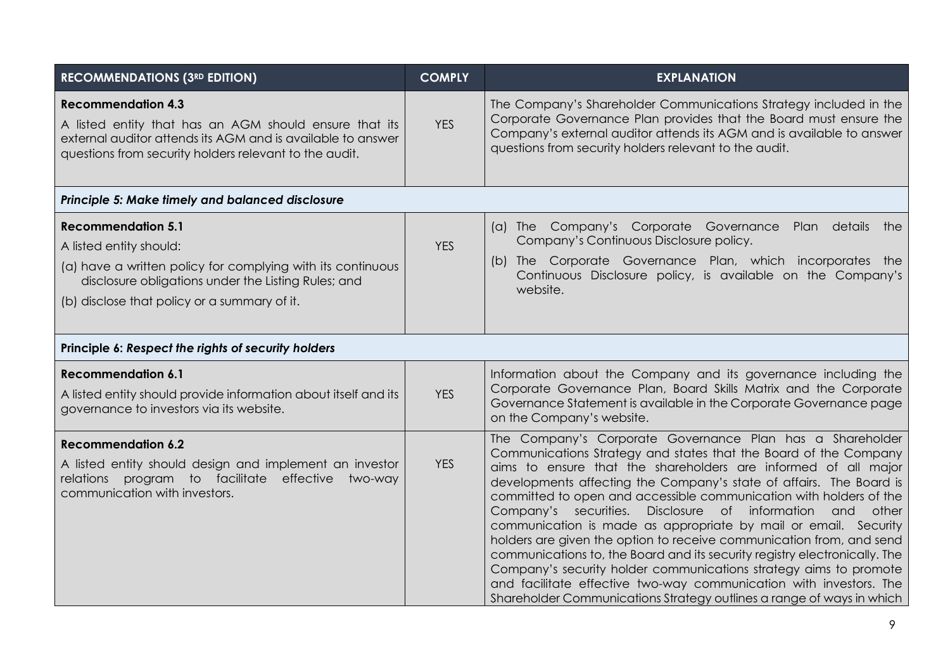| <b>RECOMMENDATIONS (3RD EDITION)</b>                                                                                                                                                                                       | <b>COMPLY</b> | <b>EXPLANATION</b>                                                                                                                                                                                                                                                                                                                                                                                                                                                                                                                                                                                                                                                                                                                                                                                                                                        |  |
|----------------------------------------------------------------------------------------------------------------------------------------------------------------------------------------------------------------------------|---------------|-----------------------------------------------------------------------------------------------------------------------------------------------------------------------------------------------------------------------------------------------------------------------------------------------------------------------------------------------------------------------------------------------------------------------------------------------------------------------------------------------------------------------------------------------------------------------------------------------------------------------------------------------------------------------------------------------------------------------------------------------------------------------------------------------------------------------------------------------------------|--|
| <b>Recommendation 4.3</b><br>A listed entity that has an AGM should ensure that its<br>external auditor attends its AGM and is available to answer<br>questions from security holders relevant to the audit.               | <b>YES</b>    | The Company's Shareholder Communications Strategy included in the<br>Corporate Governance Plan provides that the Board must ensure the<br>Company's external auditor attends its AGM and is available to answer<br>questions from security holders relevant to the audit.                                                                                                                                                                                                                                                                                                                                                                                                                                                                                                                                                                                 |  |
| Principle 5: Make timely and balanced disclosure                                                                                                                                                                           |               |                                                                                                                                                                                                                                                                                                                                                                                                                                                                                                                                                                                                                                                                                                                                                                                                                                                           |  |
| <b>Recommendation 5.1</b><br>A listed entity should:<br>(a) have a written policy for complying with its continuous<br>disclosure obligations under the Listing Rules; and<br>(b) disclose that policy or a summary of it. | <b>YES</b>    | (a) The Company's Corporate Governance<br>Plan details the<br>Company's Continuous Disclosure policy.<br>(b) The Corporate Governance Plan, which incorporates the<br>Continuous Disclosure policy, is available on the Company's<br>website.                                                                                                                                                                                                                                                                                                                                                                                                                                                                                                                                                                                                             |  |
| Principle 6: Respect the rights of security holders                                                                                                                                                                        |               |                                                                                                                                                                                                                                                                                                                                                                                                                                                                                                                                                                                                                                                                                                                                                                                                                                                           |  |
| <b>Recommendation 6.1</b><br>A listed entity should provide information about itself and its<br>governance to investors via its website.                                                                                   | <b>YES</b>    | Information about the Company and its governance including the<br>Corporate Governance Plan, Board Skills Matrix and the Corporate<br>Governance Statement is available in the Corporate Governance page<br>on the Company's website.                                                                                                                                                                                                                                                                                                                                                                                                                                                                                                                                                                                                                     |  |
| <b>Recommendation 6.2</b><br>A listed entity should design and implement an investor<br>relations program to facilitate effective<br>two-way<br>communication with investors.                                              | <b>YES</b>    | The Company's Corporate Governance Plan has a Shareholder<br>Communications Strategy and states that the Board of the Company<br>aims to ensure that the shareholders are informed of all major<br>developments affecting the Company's state of affairs. The Board is<br>committed to open and accessible communication with holders of the<br>Company's securities.<br>Disclosure of information and other<br>communication is made as appropriate by mail or email. Security<br>holders are given the option to receive communication from, and send<br>communications to, the Board and its security registry electronically. The<br>Company's security holder communications strategy aims to promote<br>and facilitate effective two-way communication with investors. The<br>Shareholder Communications Strategy outlines a range of ways in which |  |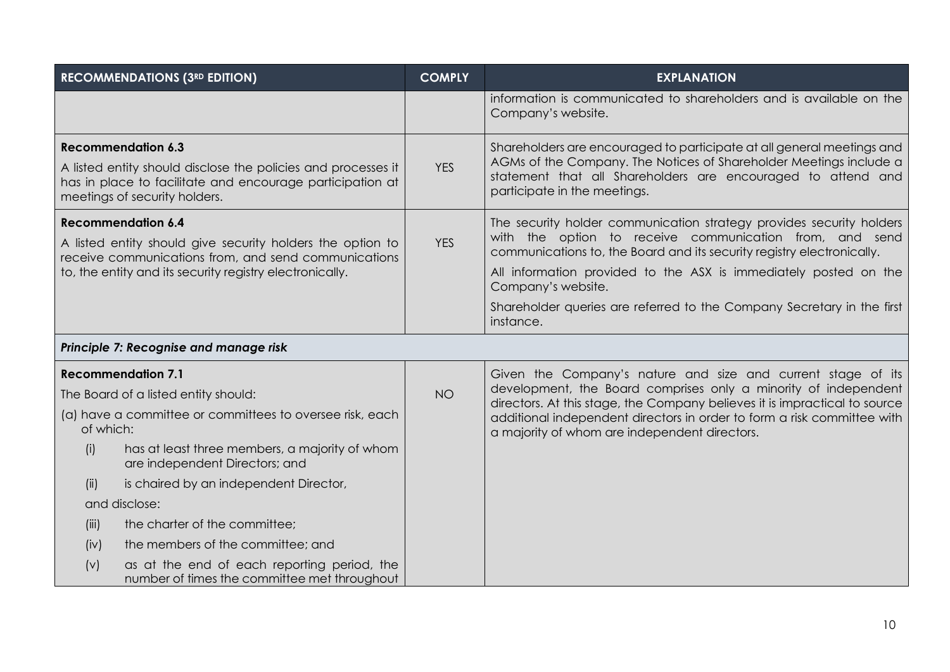| <b>RECOMMENDATIONS (3RD EDITION)</b>                                                                                                                                                     | <b>COMPLY</b> | <b>EXPLANATION</b>                                                                                                                                                                                                                           |
|------------------------------------------------------------------------------------------------------------------------------------------------------------------------------------------|---------------|----------------------------------------------------------------------------------------------------------------------------------------------------------------------------------------------------------------------------------------------|
|                                                                                                                                                                                          |               | information is communicated to shareholders and is available on the<br>Company's website.                                                                                                                                                    |
| <b>Recommendation 6.3</b><br>A listed entity should disclose the policies and processes it<br>has in place to facilitate and encourage participation at<br>meetings of security holders. | <b>YES</b>    | Shareholders are encouraged to participate at all general meetings and<br>AGMs of the Company. The Notices of Shareholder Meetings include a<br>statement that all Shareholders are encouraged to attend and<br>participate in the meetings. |
| <b>Recommendation 6.4</b><br>A listed entity should give security holders the option to<br>receive communications from, and send communications                                          | <b>YES</b>    | The security holder communication strategy provides security holders<br>with the option to receive communication from, and send<br>communications to, the Board and its security registry electronically.                                    |
| to, the entity and its security registry electronically.                                                                                                                                 |               | All information provided to the ASX is immediately posted on the<br>Company's website.                                                                                                                                                       |
|                                                                                                                                                                                          |               | Shareholder queries are referred to the Company Secretary in the first<br>instance.                                                                                                                                                          |
| Principle 7: Recognise and manage risk                                                                                                                                                   |               |                                                                                                                                                                                                                                              |
| <b>Recommendation 7.1</b>                                                                                                                                                                |               | Given the Company's nature and size and current stage of its                                                                                                                                                                                 |
| The Board of a listed entity should:                                                                                                                                                     | <b>NO</b>     | development, the Board comprises only a minority of independent<br>directors. At this stage, the Company believes it is impractical to source                                                                                                |
| (a) have a committee or committees to oversee risk, each<br>of which:                                                                                                                    |               | additional independent directors in order to form a risk committee with<br>a majority of whom are independent directors.                                                                                                                     |
| has at least three members, a majority of whom<br>(i)<br>are independent Directors; and                                                                                                  |               |                                                                                                                                                                                                                                              |
| is chaired by an independent Director,<br>(ii)                                                                                                                                           |               |                                                                                                                                                                                                                                              |
| and disclose:                                                                                                                                                                            |               |                                                                                                                                                                                                                                              |
| the charter of the committee;<br>(iii)                                                                                                                                                   |               |                                                                                                                                                                                                                                              |
| the members of the committee; and<br>(iv)                                                                                                                                                |               |                                                                                                                                                                                                                                              |
| as at the end of each reporting period, the<br>(v)<br>number of times the committee met throughout                                                                                       |               |                                                                                                                                                                                                                                              |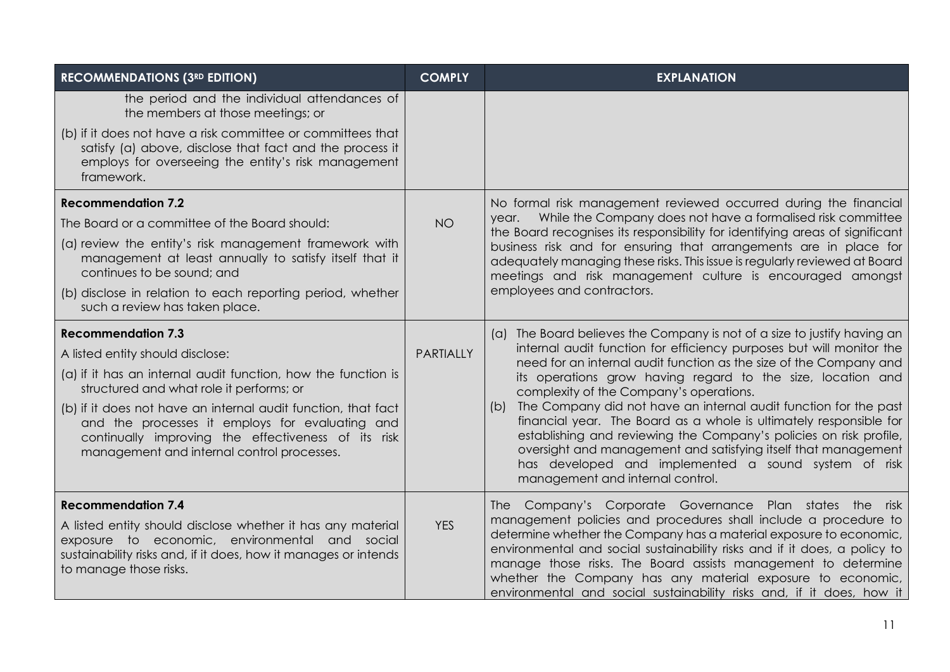| <b>RECOMMENDATIONS (3RD EDITION)</b>                                                                                                                                                                                                    | <b>COMPLY</b>    | <b>EXPLANATION</b>                                                                                                                                                                                                                                                                                                                                                                                                                                                                    |
|-----------------------------------------------------------------------------------------------------------------------------------------------------------------------------------------------------------------------------------------|------------------|---------------------------------------------------------------------------------------------------------------------------------------------------------------------------------------------------------------------------------------------------------------------------------------------------------------------------------------------------------------------------------------------------------------------------------------------------------------------------------------|
| the period and the individual attendances of<br>the members at those meetings; or                                                                                                                                                       |                  |                                                                                                                                                                                                                                                                                                                                                                                                                                                                                       |
| (b) if it does not have a risk committee or committees that<br>satisfy (a) above, disclose that fact and the process it<br>employs for overseeing the entity's risk management<br>framework.                                            |                  |                                                                                                                                                                                                                                                                                                                                                                                                                                                                                       |
| <b>Recommendation 7.2</b>                                                                                                                                                                                                               |                  | No formal risk management reviewed occurred during the financial                                                                                                                                                                                                                                                                                                                                                                                                                      |
| The Board or a committee of the Board should:                                                                                                                                                                                           | <b>NO</b>        | year. While the Company does not have a formalised risk committee<br>the Board recognises its responsibility for identifying areas of significant                                                                                                                                                                                                                                                                                                                                     |
| (a) review the entity's risk management framework with<br>management at least annually to satisfy itself that it<br>continues to be sound; and                                                                                          |                  | business risk and for ensuring that arrangements are in place for<br>adequately managing these risks. This issue is regularly reviewed at Board<br>meetings and risk management culture is encouraged amongst                                                                                                                                                                                                                                                                         |
| (b) disclose in relation to each reporting period, whether<br>such a review has taken place.                                                                                                                                            |                  | employees and contractors.                                                                                                                                                                                                                                                                                                                                                                                                                                                            |
| <b>Recommendation 7.3</b>                                                                                                                                                                                                               |                  | (a) The Board believes the Company is not of a size to justify having an                                                                                                                                                                                                                                                                                                                                                                                                              |
| A listed entity should disclose:                                                                                                                                                                                                        | <b>PARTIALLY</b> | internal audit function for efficiency purposes but will monitor the<br>need for an internal audit function as the size of the Company and                                                                                                                                                                                                                                                                                                                                            |
| (a) if it has an internal audit function, how the function is<br>structured and what role it performs; or                                                                                                                               |                  | its operations grow having regard to the size, location and<br>complexity of the Company's operations.                                                                                                                                                                                                                                                                                                                                                                                |
| (b) if it does not have an internal audit function, that fact<br>and the processes it employs for evaluating and<br>continually improving the effectiveness of its risk<br>management and internal control processes.                   |                  | The Company did not have an internal audit function for the past<br>(b)<br>financial year. The Board as a whole is ultimately responsible for<br>establishing and reviewing the Company's policies on risk profile,<br>oversight and management and satisfying itself that management<br>has developed and implemented a sound system of risk<br>management and internal control.                                                                                                     |
| <b>Recommendation 7.4</b><br>A listed entity should disclose whether it has any material<br>exposure to economic, environmental and social<br>sustainability risks and, if it does, how it manages or intends<br>to manage those risks. | <b>YES</b>       | The Company's Corporate Governance Plan states the risk<br>management policies and procedures shall include a procedure to<br>determine whether the Company has a material exposure to economic,<br>environmental and social sustainability risks and if it does, a policy to<br>manage those risks. The Board assists management to determine<br>whether the Company has any material exposure to economic,<br>environmental and social sustainability risks and, if it does, how it |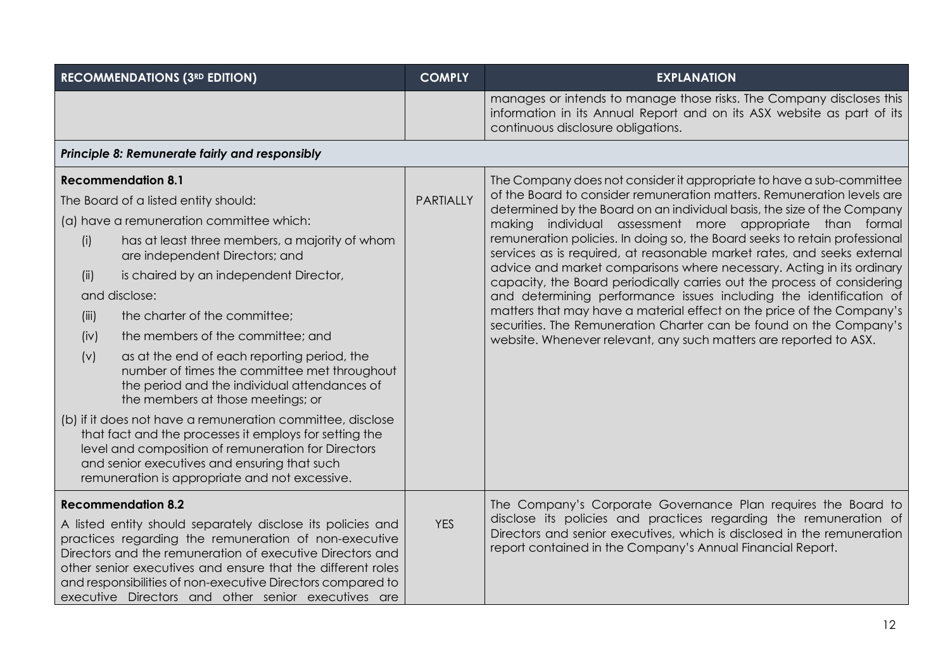|       | <b>RECOMMENDATIONS (3RD EDITION)</b>                                                                                                                                                                                                                                                                                                                                   | <b>COMPLY</b>    | <b>EXPLANATION</b>                                                                                                                                                                                         |
|-------|------------------------------------------------------------------------------------------------------------------------------------------------------------------------------------------------------------------------------------------------------------------------------------------------------------------------------------------------------------------------|------------------|------------------------------------------------------------------------------------------------------------------------------------------------------------------------------------------------------------|
|       |                                                                                                                                                                                                                                                                                                                                                                        |                  | manages or intends to manage those risks. The Company discloses this<br>information in its Annual Report and on its ASX website as part of its<br>continuous disclosure obligations.                       |
|       | Principle 8: Remunerate fairly and responsibly                                                                                                                                                                                                                                                                                                                         |                  |                                                                                                                                                                                                            |
|       | <b>Recommendation 8.1</b>                                                                                                                                                                                                                                                                                                                                              |                  | The Company does not consider it appropriate to have a sub-committee                                                                                                                                       |
|       | The Board of a listed entity should:                                                                                                                                                                                                                                                                                                                                   | <b>PARTIALLY</b> | of the Board to consider remuneration matters. Remuneration levels are<br>determined by the Board on an individual basis, the size of the Company                                                          |
|       | (a) have a remuneration committee which:                                                                                                                                                                                                                                                                                                                               |                  | individual assessment more appropriate than formal<br>making                                                                                                                                               |
| (i)   | has at least three members, a majority of whom<br>are independent Directors; and                                                                                                                                                                                                                                                                                       |                  | remuneration policies. In doing so, the Board seeks to retain professional<br>services as is required, at reasonable market rates, and seeks external                                                      |
| (ii)  | is chaired by an independent Director,                                                                                                                                                                                                                                                                                                                                 |                  | advice and market comparisons where necessary. Acting in its ordinary<br>capacity, the Board periodically carries out the process of considering                                                           |
|       | and disclose:                                                                                                                                                                                                                                                                                                                                                          |                  | and determining performance issues including the identification of                                                                                                                                         |
| (iii) | the charter of the committee;                                                                                                                                                                                                                                                                                                                                          |                  | matters that may have a material effect on the price of the Company's<br>securities. The Remuneration Charter can be found on the Company's                                                                |
| (iv)  | the members of the committee; and                                                                                                                                                                                                                                                                                                                                      |                  | website. Whenever relevant, any such matters are reported to ASX.                                                                                                                                          |
| (v)   | as at the end of each reporting period, the<br>number of times the committee met throughout<br>the period and the individual attendances of<br>the members at those meetings; or                                                                                                                                                                                       |                  |                                                                                                                                                                                                            |
|       | (b) if it does not have a remuneration committee, disclose<br>that fact and the processes it employs for setting the<br>level and composition of remuneration for Directors<br>and senior executives and ensuring that such<br>remuneration is appropriate and not excessive.                                                                                          |                  |                                                                                                                                                                                                            |
|       | <b>Recommendation 8.2</b>                                                                                                                                                                                                                                                                                                                                              |                  | The Company's Corporate Governance Plan requires the Board to                                                                                                                                              |
|       | A listed entity should separately disclose its policies and<br>practices regarding the remuneration of non-executive<br>Directors and the remuneration of executive Directors and<br>other senior executives and ensure that the different roles<br>and responsibilities of non-executive Directors compared to<br>executive Directors and other senior executives are | <b>YES</b>       | disclose its policies and practices regarding the remuneration of<br>Directors and senior executives, which is disclosed in the remuneration<br>report contained in the Company's Annual Financial Report. |